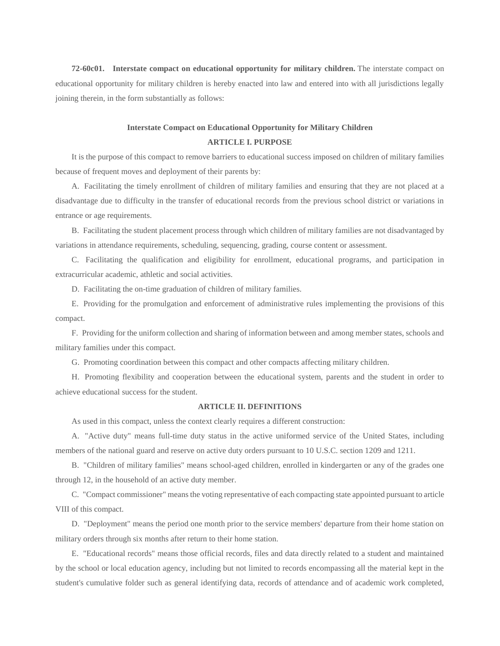**72-60c01. Interstate compact on educational opportunity for military children.** The interstate compact on educational opportunity for military children is hereby enacted into law and entered into with all jurisdictions legally joining therein, in the form substantially as follows:

# **Interstate Compact on Educational Opportunity for Military Children ARTICLE I. PURPOSE**

It is the purpose of this compact to remove barriers to educational success imposed on children of military families because of frequent moves and deployment of their parents by:

A. Facilitating the timely enrollment of children of military families and ensuring that they are not placed at a disadvantage due to difficulty in the transfer of educational records from the previous school district or variations in entrance or age requirements.

B. Facilitating the student placement process through which children of military families are not disadvantaged by variations in attendance requirements, scheduling, sequencing, grading, course content or assessment.

C. Facilitating the qualification and eligibility for enrollment, educational programs, and participation in extracurricular academic, athletic and social activities.

D. Facilitating the on-time graduation of children of military families.

E. Providing for the promulgation and enforcement of administrative rules implementing the provisions of this compact.

F. Providing for the uniform collection and sharing of information between and among member states, schools and military families under this compact.

G. Promoting coordination between this compact and other compacts affecting military children.

H. Promoting flexibility and cooperation between the educational system, parents and the student in order to achieve educational success for the student.

### **ARTICLE II. DEFINITIONS**

As used in this compact, unless the context clearly requires a different construction:

A. "Active duty" means full-time duty status in the active uniformed service of the United States, including members of the national guard and reserve on active duty orders pursuant to 10 U.S.C. section 1209 and 1211.

B. "Children of military families" means school-aged children, enrolled in kindergarten or any of the grades one through 12, in the household of an active duty member.

C. "Compact commissioner" means the voting representative of each compacting state appointed pursuant to article VIII of this compact.

D. "Deployment" means the period one month prior to the service members' departure from their home station on military orders through six months after return to their home station.

E. "Educational records" means those official records, files and data directly related to a student and maintained by the school or local education agency, including but not limited to records encompassing all the material kept in the student's cumulative folder such as general identifying data, records of attendance and of academic work completed,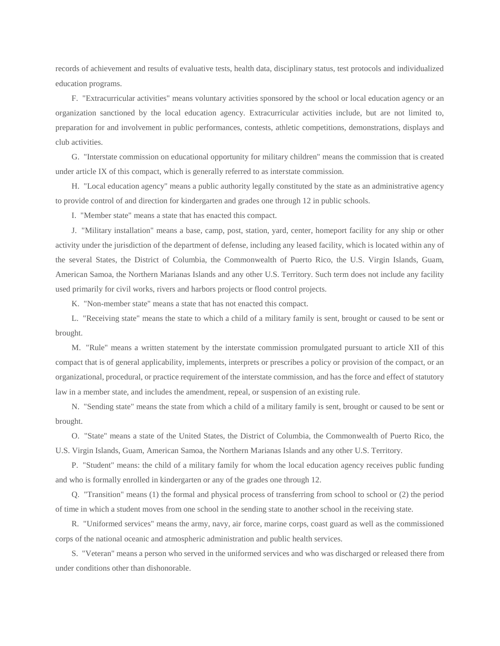records of achievement and results of evaluative tests, health data, disciplinary status, test protocols and individualized education programs.

F. "Extracurricular activities" means voluntary activities sponsored by the school or local education agency or an organization sanctioned by the local education agency. Extracurricular activities include, but are not limited to, preparation for and involvement in public performances, contests, athletic competitions, demonstrations, displays and club activities.

G. "Interstate commission on educational opportunity for military children" means the commission that is created under article IX of this compact, which is generally referred to as interstate commission.

H. "Local education agency" means a public authority legally constituted by the state as an administrative agency to provide control of and direction for kindergarten and grades one through 12 in public schools.

I. "Member state" means a state that has enacted this compact.

J. "Military installation" means a base, camp, post, station, yard, center, homeport facility for any ship or other activity under the jurisdiction of the department of defense, including any leased facility, which is located within any of the several States, the District of Columbia, the Commonwealth of Puerto Rico, the U.S. Virgin Islands, Guam, American Samoa, the Northern Marianas Islands and any other U.S. Territory. Such term does not include any facility used primarily for civil works, rivers and harbors projects or flood control projects.

K. "Non-member state" means a state that has not enacted this compact.

L. "Receiving state" means the state to which a child of a military family is sent, brought or caused to be sent or brought.

M. "Rule" means a written statement by the interstate commission promulgated pursuant to article XII of this compact that is of general applicability, implements, interprets or prescribes a policy or provision of the compact, or an organizational, procedural, or practice requirement of the interstate commission, and has the force and effect of statutory law in a member state, and includes the amendment, repeal, or suspension of an existing rule.

N. "Sending state" means the state from which a child of a military family is sent, brought or caused to be sent or brought.

O. "State" means a state of the United States, the District of Columbia, the Commonwealth of Puerto Rico, the U.S. Virgin Islands, Guam, American Samoa, the Northern Marianas Islands and any other U.S. Territory.

P. "Student" means: the child of a military family for whom the local education agency receives public funding and who is formally enrolled in kindergarten or any of the grades one through 12.

Q. "Transition" means (1) the formal and physical process of transferring from school to school or (2) the period of time in which a student moves from one school in the sending state to another school in the receiving state.

R. "Uniformed services" means the army, navy, air force, marine corps, coast guard as well as the commissioned corps of the national oceanic and atmospheric administration and public health services.

S. "Veteran" means a person who served in the uniformed services and who was discharged or released there from under conditions other than dishonorable.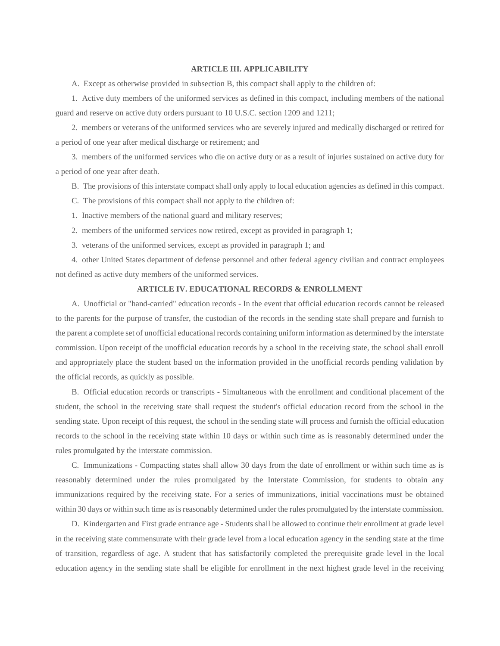#### **ARTICLE III. APPLICABILITY**

A. Except as otherwise provided in subsection B, this compact shall apply to the children of:

1. Active duty members of the uniformed services as defined in this compact, including members of the national guard and reserve on active duty orders pursuant to 10 U.S.C. section 1209 and 1211;

2. members or veterans of the uniformed services who are severely injured and medically discharged or retired for a period of one year after medical discharge or retirement; and

3. members of the uniformed services who die on active duty or as a result of injuries sustained on active duty for a period of one year after death.

B. The provisions of this interstate compact shall only apply to local education agencies as defined in this compact.

C. The provisions of this compact shall not apply to the children of:

1. Inactive members of the national guard and military reserves;

2. members of the uniformed services now retired, except as provided in paragraph 1;

3. veterans of the uniformed services, except as provided in paragraph 1; and

4. other United States department of defense personnel and other federal agency civilian and contract employees not defined as active duty members of the uniformed services.

## **ARTICLE IV. EDUCATIONAL RECORDS & ENROLLMENT**

A. Unofficial or "hand-carried" education records - In the event that official education records cannot be released to the parents for the purpose of transfer, the custodian of the records in the sending state shall prepare and furnish to the parent a complete set of unofficial educational records containing uniform information as determined by the interstate commission. Upon receipt of the unofficial education records by a school in the receiving state, the school shall enroll and appropriately place the student based on the information provided in the unofficial records pending validation by the official records, as quickly as possible.

B. Official education records or transcripts - Simultaneous with the enrollment and conditional placement of the student, the school in the receiving state shall request the student's official education record from the school in the sending state. Upon receipt of this request, the school in the sending state will process and furnish the official education records to the school in the receiving state within 10 days or within such time as is reasonably determined under the rules promulgated by the interstate commission.

C. Immunizations - Compacting states shall allow 30 days from the date of enrollment or within such time as is reasonably determined under the rules promulgated by the Interstate Commission, for students to obtain any immunizations required by the receiving state. For a series of immunizations, initial vaccinations must be obtained within 30 days or within such time as is reasonably determined under the rules promulgated by the interstate commission.

D. Kindergarten and First grade entrance age - Students shall be allowed to continue their enrollment at grade level in the receiving state commensurate with their grade level from a local education agency in the sending state at the time of transition, regardless of age. A student that has satisfactorily completed the prerequisite grade level in the local education agency in the sending state shall be eligible for enrollment in the next highest grade level in the receiving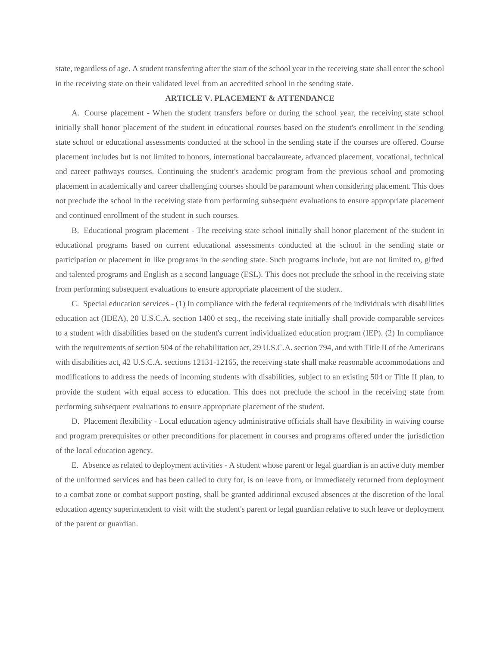state, regardless of age. A student transferring after the start of the school year in the receiving state shall enter the school in the receiving state on their validated level from an accredited school in the sending state.

# **ARTICLE V. PLACEMENT & ATTENDANCE**

A. Course placement - When the student transfers before or during the school year, the receiving state school initially shall honor placement of the student in educational courses based on the student's enrollment in the sending state school or educational assessments conducted at the school in the sending state if the courses are offered. Course placement includes but is not limited to honors, international baccalaureate, advanced placement, vocational, technical and career pathways courses. Continuing the student's academic program from the previous school and promoting placement in academically and career challenging courses should be paramount when considering placement. This does not preclude the school in the receiving state from performing subsequent evaluations to ensure appropriate placement and continued enrollment of the student in such courses.

B. Educational program placement - The receiving state school initially shall honor placement of the student in educational programs based on current educational assessments conducted at the school in the sending state or participation or placement in like programs in the sending state. Such programs include, but are not limited to, gifted and talented programs and English as a second language (ESL). This does not preclude the school in the receiving state from performing subsequent evaluations to ensure appropriate placement of the student.

C. Special education services - (1) In compliance with the federal requirements of the individuals with disabilities education act (IDEA), 20 U.S.C.A. section 1400 et seq., the receiving state initially shall provide comparable services to a student with disabilities based on the student's current individualized education program (IEP). (2) In compliance with the requirements of section 504 of the rehabilitation act, 29 U.S.C.A. section 794, and with Title II of the Americans with disabilities act, 42 U.S.C.A. sections 12131-12165, the receiving state shall make reasonable accommodations and modifications to address the needs of incoming students with disabilities, subject to an existing 504 or Title II plan, to provide the student with equal access to education. This does not preclude the school in the receiving state from performing subsequent evaluations to ensure appropriate placement of the student.

D. Placement flexibility - Local education agency administrative officials shall have flexibility in waiving course and program prerequisites or other preconditions for placement in courses and programs offered under the jurisdiction of the local education agency.

E. Absence as related to deployment activities - A student whose parent or legal guardian is an active duty member of the uniformed services and has been called to duty for, is on leave from, or immediately returned from deployment to a combat zone or combat support posting, shall be granted additional excused absences at the discretion of the local education agency superintendent to visit with the student's parent or legal guardian relative to such leave or deployment of the parent or guardian.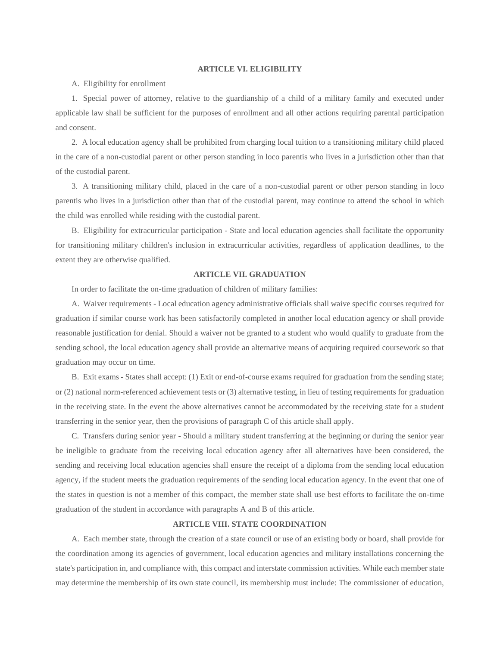#### **ARTICLE VI. ELIGIBILITY**

A. Eligibility for enrollment

1. Special power of attorney, relative to the guardianship of a child of a military family and executed under applicable law shall be sufficient for the purposes of enrollment and all other actions requiring parental participation and consent.

2. A local education agency shall be prohibited from charging local tuition to a transitioning military child placed in the care of a non-custodial parent or other person standing in loco parentis who lives in a jurisdiction other than that of the custodial parent.

3. A transitioning military child, placed in the care of a non-custodial parent or other person standing in loco parentis who lives in a jurisdiction other than that of the custodial parent, may continue to attend the school in which the child was enrolled while residing with the custodial parent.

B. Eligibility for extracurricular participation - State and local education agencies shall facilitate the opportunity for transitioning military children's inclusion in extracurricular activities, regardless of application deadlines, to the extent they are otherwise qualified.

# **ARTICLE VII. GRADUATION**

In order to facilitate the on-time graduation of children of military families:

A. Waiver requirements - Local education agency administrative officials shall waive specific courses required for graduation if similar course work has been satisfactorily completed in another local education agency or shall provide reasonable justification for denial. Should a waiver not be granted to a student who would qualify to graduate from the sending school, the local education agency shall provide an alternative means of acquiring required coursework so that graduation may occur on time.

B. Exit exams - States shall accept: (1) Exit or end-of-course exams required for graduation from the sending state; or (2) national norm-referenced achievement tests or (3) alternative testing, in lieu of testing requirements for graduation in the receiving state. In the event the above alternatives cannot be accommodated by the receiving state for a student transferring in the senior year, then the provisions of paragraph C of this article shall apply.

C. Transfers during senior year - Should a military student transferring at the beginning or during the senior year be ineligible to graduate from the receiving local education agency after all alternatives have been considered, the sending and receiving local education agencies shall ensure the receipt of a diploma from the sending local education agency, if the student meets the graduation requirements of the sending local education agency. In the event that one of the states in question is not a member of this compact, the member state shall use best efforts to facilitate the on-time graduation of the student in accordance with paragraphs A and B of this article.

# **ARTICLE VIII. STATE COORDINATION**

A. Each member state, through the creation of a state council or use of an existing body or board, shall provide for the coordination among its agencies of government, local education agencies and military installations concerning the state's participation in, and compliance with, this compact and interstate commission activities. While each member state may determine the membership of its own state council, its membership must include: The commissioner of education,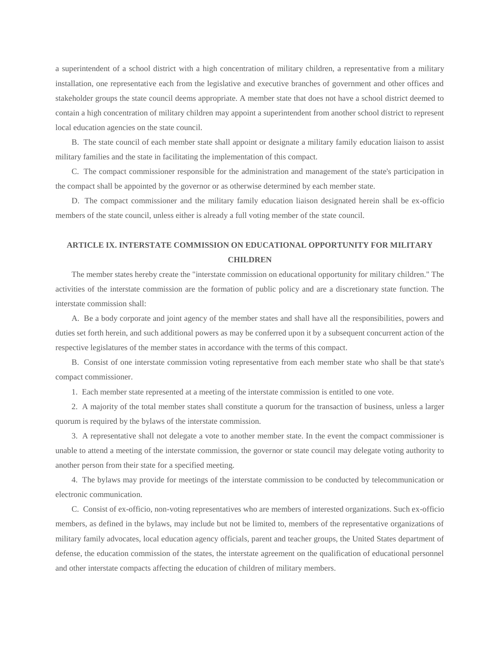a superintendent of a school district with a high concentration of military children, a representative from a military installation, one representative each from the legislative and executive branches of government and other offices and stakeholder groups the state council deems appropriate. A member state that does not have a school district deemed to contain a high concentration of military children may appoint a superintendent from another school district to represent local education agencies on the state council.

B. The state council of each member state shall appoint or designate a military family education liaison to assist military families and the state in facilitating the implementation of this compact.

C. The compact commissioner responsible for the administration and management of the state's participation in the compact shall be appointed by the governor or as otherwise determined by each member state.

D. The compact commissioner and the military family education liaison designated herein shall be ex-officio members of the state council, unless either is already a full voting member of the state council.

# **ARTICLE IX. INTERSTATE COMMISSION ON EDUCATIONAL OPPORTUNITY FOR MILITARY CHILDREN**

The member states hereby create the "interstate commission on educational opportunity for military children." The activities of the interstate commission are the formation of public policy and are a discretionary state function. The interstate commission shall:

A. Be a body corporate and joint agency of the member states and shall have all the responsibilities, powers and duties set forth herein, and such additional powers as may be conferred upon it by a subsequent concurrent action of the respective legislatures of the member states in accordance with the terms of this compact.

B. Consist of one interstate commission voting representative from each member state who shall be that state's compact commissioner.

1. Each member state represented at a meeting of the interstate commission is entitled to one vote.

2. A majority of the total member states shall constitute a quorum for the transaction of business, unless a larger quorum is required by the bylaws of the interstate commission.

3. A representative shall not delegate a vote to another member state. In the event the compact commissioner is unable to attend a meeting of the interstate commission, the governor or state council may delegate voting authority to another person from their state for a specified meeting.

4. The bylaws may provide for meetings of the interstate commission to be conducted by telecommunication or electronic communication.

C. Consist of ex-officio, non-voting representatives who are members of interested organizations. Such ex-officio members, as defined in the bylaws, may include but not be limited to, members of the representative organizations of military family advocates, local education agency officials, parent and teacher groups, the United States department of defense, the education commission of the states, the interstate agreement on the qualification of educational personnel and other interstate compacts affecting the education of children of military members.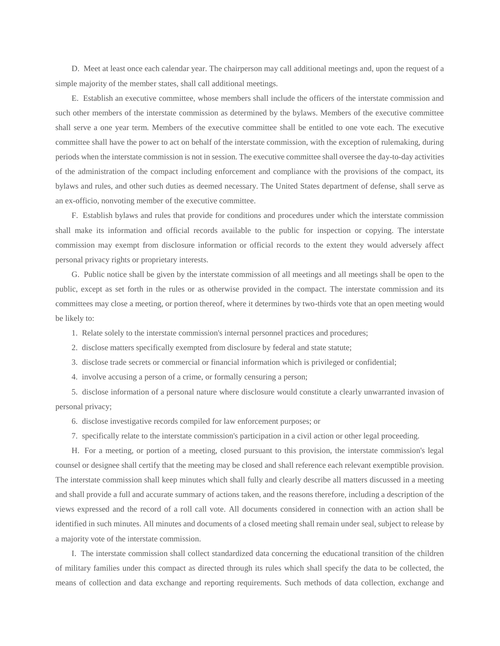D. Meet at least once each calendar year. The chairperson may call additional meetings and, upon the request of a simple majority of the member states, shall call additional meetings.

E. Establish an executive committee, whose members shall include the officers of the interstate commission and such other members of the interstate commission as determined by the bylaws. Members of the executive committee shall serve a one year term. Members of the executive committee shall be entitled to one vote each. The executive committee shall have the power to act on behalf of the interstate commission, with the exception of rulemaking, during periods when the interstate commission is not in session. The executive committee shall oversee the day-to-day activities of the administration of the compact including enforcement and compliance with the provisions of the compact, its bylaws and rules, and other such duties as deemed necessary. The United States department of defense, shall serve as an ex-officio, nonvoting member of the executive committee.

F. Establish bylaws and rules that provide for conditions and procedures under which the interstate commission shall make its information and official records available to the public for inspection or copying. The interstate commission may exempt from disclosure information or official records to the extent they would adversely affect personal privacy rights or proprietary interests.

G. Public notice shall be given by the interstate commission of all meetings and all meetings shall be open to the public, except as set forth in the rules or as otherwise provided in the compact. The interstate commission and its committees may close a meeting, or portion thereof, where it determines by two-thirds vote that an open meeting would be likely to:

1. Relate solely to the interstate commission's internal personnel practices and procedures;

2. disclose matters specifically exempted from disclosure by federal and state statute;

3. disclose trade secrets or commercial or financial information which is privileged or confidential;

4. involve accusing a person of a crime, or formally censuring a person;

5. disclose information of a personal nature where disclosure would constitute a clearly unwarranted invasion of personal privacy;

6. disclose investigative records compiled for law enforcement purposes; or

7. specifically relate to the interstate commission's participation in a civil action or other legal proceeding.

H. For a meeting, or portion of a meeting, closed pursuant to this provision, the interstate commission's legal counsel or designee shall certify that the meeting may be closed and shall reference each relevant exemptible provision. The interstate commission shall keep minutes which shall fully and clearly describe all matters discussed in a meeting and shall provide a full and accurate summary of actions taken, and the reasons therefore, including a description of the views expressed and the record of a roll call vote. All documents considered in connection with an action shall be identified in such minutes. All minutes and documents of a closed meeting shall remain under seal, subject to release by a majority vote of the interstate commission.

I. The interstate commission shall collect standardized data concerning the educational transition of the children of military families under this compact as directed through its rules which shall specify the data to be collected, the means of collection and data exchange and reporting requirements. Such methods of data collection, exchange and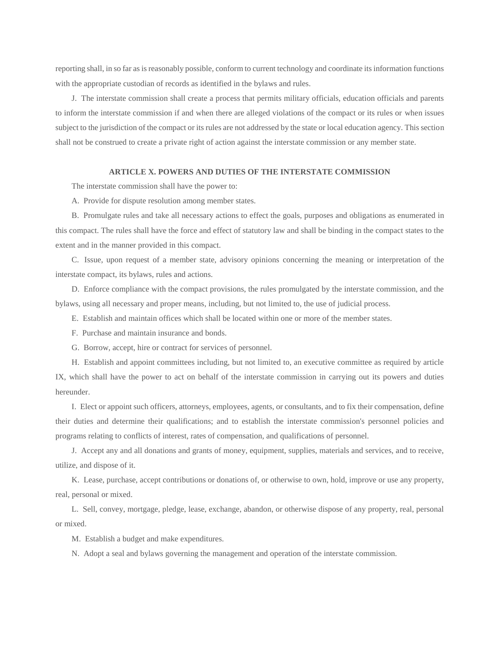reporting shall, in so far as is reasonably possible, conform to current technology and coordinate its information functions with the appropriate custodian of records as identified in the bylaws and rules.

J. The interstate commission shall create a process that permits military officials, education officials and parents to inform the interstate commission if and when there are alleged violations of the compact or its rules or when issues subject to the jurisdiction of the compact or its rules are not addressed by the state or local education agency. This section shall not be construed to create a private right of action against the interstate commission or any member state.

## **ARTICLE X. POWERS AND DUTIES OF THE INTERSTATE COMMISSION**

The interstate commission shall have the power to:

A. Provide for dispute resolution among member states.

B. Promulgate rules and take all necessary actions to effect the goals, purposes and obligations as enumerated in this compact. The rules shall have the force and effect of statutory law and shall be binding in the compact states to the extent and in the manner provided in this compact.

C. Issue, upon request of a member state, advisory opinions concerning the meaning or interpretation of the interstate compact, its bylaws, rules and actions.

D. Enforce compliance with the compact provisions, the rules promulgated by the interstate commission, and the bylaws, using all necessary and proper means, including, but not limited to, the use of judicial process.

- E. Establish and maintain offices which shall be located within one or more of the member states.
- F. Purchase and maintain insurance and bonds.
- G. Borrow, accept, hire or contract for services of personnel.

H. Establish and appoint committees including, but not limited to, an executive committee as required by article IX, which shall have the power to act on behalf of the interstate commission in carrying out its powers and duties hereunder.

I. Elect or appoint such officers, attorneys, employees, agents, or consultants, and to fix their compensation, define their duties and determine their qualifications; and to establish the interstate commission's personnel policies and programs relating to conflicts of interest, rates of compensation, and qualifications of personnel.

J. Accept any and all donations and grants of money, equipment, supplies, materials and services, and to receive, utilize, and dispose of it.

K. Lease, purchase, accept contributions or donations of, or otherwise to own, hold, improve or use any property, real, personal or mixed.

L. Sell, convey, mortgage, pledge, lease, exchange, abandon, or otherwise dispose of any property, real, personal or mixed.

M. Establish a budget and make expenditures.

N. Adopt a seal and bylaws governing the management and operation of the interstate commission.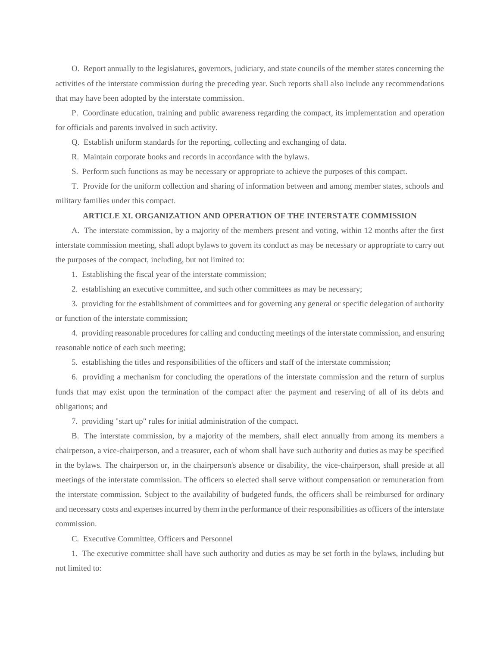O. Report annually to the legislatures, governors, judiciary, and state councils of the member states concerning the activities of the interstate commission during the preceding year. Such reports shall also include any recommendations that may have been adopted by the interstate commission.

P. Coordinate education, training and public awareness regarding the compact, its implementation and operation for officials and parents involved in such activity.

Q. Establish uniform standards for the reporting, collecting and exchanging of data.

R. Maintain corporate books and records in accordance with the bylaws.

S. Perform such functions as may be necessary or appropriate to achieve the purposes of this compact.

T. Provide for the uniform collection and sharing of information between and among member states, schools and military families under this compact.

## **ARTICLE XI. ORGANIZATION AND OPERATION OF THE INTERSTATE COMMISSION**

A. The interstate commission, by a majority of the members present and voting, within 12 months after the first interstate commission meeting, shall adopt bylaws to govern its conduct as may be necessary or appropriate to carry out the purposes of the compact, including, but not limited to:

1. Establishing the fiscal year of the interstate commission;

2. establishing an executive committee, and such other committees as may be necessary;

3. providing for the establishment of committees and for governing any general or specific delegation of authority or function of the interstate commission;

4. providing reasonable procedures for calling and conducting meetings of the interstate commission, and ensuring reasonable notice of each such meeting;

5. establishing the titles and responsibilities of the officers and staff of the interstate commission;

6. providing a mechanism for concluding the operations of the interstate commission and the return of surplus funds that may exist upon the termination of the compact after the payment and reserving of all of its debts and obligations; and

7. providing "start up" rules for initial administration of the compact.

B. The interstate commission, by a majority of the members, shall elect annually from among its members a chairperson, a vice-chairperson, and a treasurer, each of whom shall have such authority and duties as may be specified in the bylaws. The chairperson or, in the chairperson's absence or disability, the vice-chairperson, shall preside at all meetings of the interstate commission. The officers so elected shall serve without compensation or remuneration from the interstate commission. Subject to the availability of budgeted funds, the officers shall be reimbursed for ordinary and necessary costs and expenses incurred by them in the performance of their responsibilities as officers of the interstate commission.

C. Executive Committee, Officers and Personnel

1. The executive committee shall have such authority and duties as may be set forth in the bylaws, including but not limited to: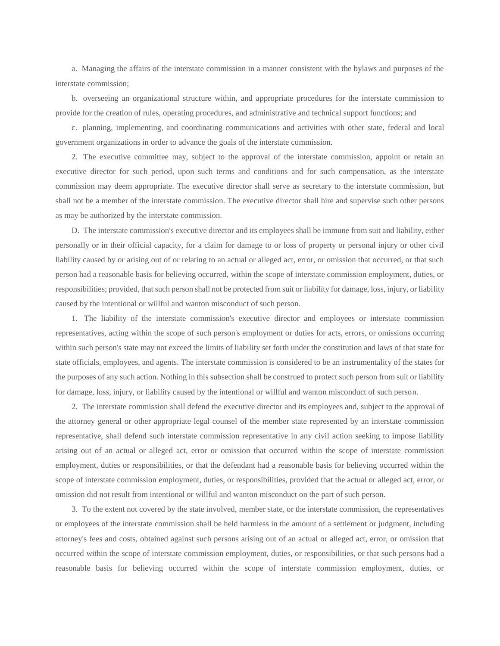a. Managing the affairs of the interstate commission in a manner consistent with the bylaws and purposes of the interstate commission;

b. overseeing an organizational structure within, and appropriate procedures for the interstate commission to provide for the creation of rules, operating procedures, and administrative and technical support functions; and

c. planning, implementing, and coordinating communications and activities with other state, federal and local government organizations in order to advance the goals of the interstate commission.

2. The executive committee may, subject to the approval of the interstate commission, appoint or retain an executive director for such period, upon such terms and conditions and for such compensation, as the interstate commission may deem appropriate. The executive director shall serve as secretary to the interstate commission, but shall not be a member of the interstate commission. The executive director shall hire and supervise such other persons as may be authorized by the interstate commission.

D. The interstate commission's executive director and its employees shall be immune from suit and liability, either personally or in their official capacity, for a claim for damage to or loss of property or personal injury or other civil liability caused by or arising out of or relating to an actual or alleged act, error, or omission that occurred, or that such person had a reasonable basis for believing occurred, within the scope of interstate commission employment, duties, or responsibilities; provided, that such person shall not be protected from suit or liability for damage, loss, injury, or liability caused by the intentional or willful and wanton misconduct of such person.

1. The liability of the interstate commission's executive director and employees or interstate commission representatives, acting within the scope of such person's employment or duties for acts, errors, or omissions occurring within such person's state may not exceed the limits of liability set forth under the constitution and laws of that state for state officials, employees, and agents. The interstate commission is considered to be an instrumentality of the states for the purposes of any such action. Nothing in this subsection shall be construed to protect such person from suit or liability for damage, loss, injury, or liability caused by the intentional or willful and wanton misconduct of such person.

2. The interstate commission shall defend the executive director and its employees and, subject to the approval of the attorney general or other appropriate legal counsel of the member state represented by an interstate commission representative, shall defend such interstate commission representative in any civil action seeking to impose liability arising out of an actual or alleged act, error or omission that occurred within the scope of interstate commission employment, duties or responsibilities, or that the defendant had a reasonable basis for believing occurred within the scope of interstate commission employment, duties, or responsibilities, provided that the actual or alleged act, error, or omission did not result from intentional or willful and wanton misconduct on the part of such person.

3. To the extent not covered by the state involved, member state, or the interstate commission, the representatives or employees of the interstate commission shall be held harmless in the amount of a settlement or judgment, including attorney's fees and costs, obtained against such persons arising out of an actual or alleged act, error, or omission that occurred within the scope of interstate commission employment, duties, or responsibilities, or that such persons had a reasonable basis for believing occurred within the scope of interstate commission employment, duties, or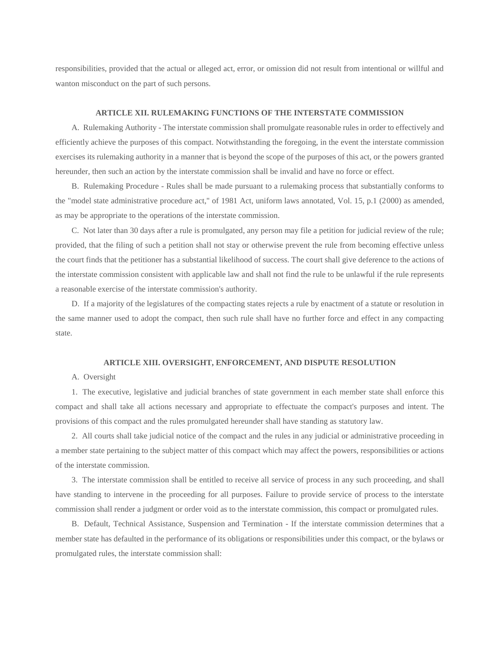responsibilities, provided that the actual or alleged act, error, or omission did not result from intentional or willful and wanton misconduct on the part of such persons.

## **ARTICLE XII. RULEMAKING FUNCTIONS OF THE INTERSTATE COMMISSION**

A. Rulemaking Authority - The interstate commission shall promulgate reasonable rules in order to effectively and efficiently achieve the purposes of this compact. Notwithstanding the foregoing, in the event the interstate commission exercises its rulemaking authority in a manner that is beyond the scope of the purposes of this act, or the powers granted hereunder, then such an action by the interstate commission shall be invalid and have no force or effect.

B. Rulemaking Procedure - Rules shall be made pursuant to a rulemaking process that substantially conforms to the "model state administrative procedure act," of 1981 Act, uniform laws annotated, Vol. 15, p.1 (2000) as amended, as may be appropriate to the operations of the interstate commission.

C. Not later than 30 days after a rule is promulgated, any person may file a petition for judicial review of the rule; provided, that the filing of such a petition shall not stay or otherwise prevent the rule from becoming effective unless the court finds that the petitioner has a substantial likelihood of success. The court shall give deference to the actions of the interstate commission consistent with applicable law and shall not find the rule to be unlawful if the rule represents a reasonable exercise of the interstate commission's authority.

D. If a majority of the legislatures of the compacting states rejects a rule by enactment of a statute or resolution in the same manner used to adopt the compact, then such rule shall have no further force and effect in any compacting state.

## **ARTICLE XIII. OVERSIGHT, ENFORCEMENT, AND DISPUTE RESOLUTION**

## A. Oversight

1. The executive, legislative and judicial branches of state government in each member state shall enforce this compact and shall take all actions necessary and appropriate to effectuate the compact's purposes and intent. The provisions of this compact and the rules promulgated hereunder shall have standing as statutory law.

2. All courts shall take judicial notice of the compact and the rules in any judicial or administrative proceeding in a member state pertaining to the subject matter of this compact which may affect the powers, responsibilities or actions of the interstate commission.

3. The interstate commission shall be entitled to receive all service of process in any such proceeding, and shall have standing to intervene in the proceeding for all purposes. Failure to provide service of process to the interstate commission shall render a judgment or order void as to the interstate commission, this compact or promulgated rules.

B. Default, Technical Assistance, Suspension and Termination - If the interstate commission determines that a member state has defaulted in the performance of its obligations or responsibilities under this compact, or the bylaws or promulgated rules, the interstate commission shall: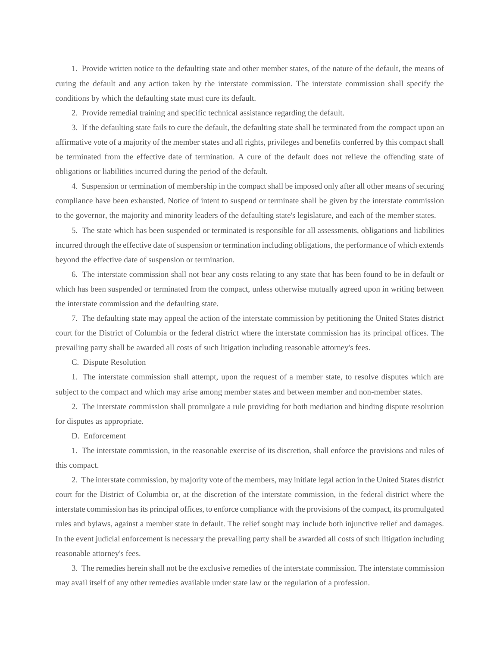1. Provide written notice to the defaulting state and other member states, of the nature of the default, the means of curing the default and any action taken by the interstate commission. The interstate commission shall specify the conditions by which the defaulting state must cure its default.

2. Provide remedial training and specific technical assistance regarding the default.

3. If the defaulting state fails to cure the default, the defaulting state shall be terminated from the compact upon an affirmative vote of a majority of the member states and all rights, privileges and benefits conferred by this compact shall be terminated from the effective date of termination. A cure of the default does not relieve the offending state of obligations or liabilities incurred during the period of the default.

4. Suspension or termination of membership in the compact shall be imposed only after all other means of securing compliance have been exhausted. Notice of intent to suspend or terminate shall be given by the interstate commission to the governor, the majority and minority leaders of the defaulting state's legislature, and each of the member states.

5. The state which has been suspended or terminated is responsible for all assessments, obligations and liabilities incurred through the effective date of suspension or termination including obligations, the performance of which extends beyond the effective date of suspension or termination.

6. The interstate commission shall not bear any costs relating to any state that has been found to be in default or which has been suspended or terminated from the compact, unless otherwise mutually agreed upon in writing between the interstate commission and the defaulting state.

7. The defaulting state may appeal the action of the interstate commission by petitioning the United States district court for the District of Columbia or the federal district where the interstate commission has its principal offices. The prevailing party shall be awarded all costs of such litigation including reasonable attorney's fees.

C. Dispute Resolution

1. The interstate commission shall attempt, upon the request of a member state, to resolve disputes which are subject to the compact and which may arise among member states and between member and non-member states.

2. The interstate commission shall promulgate a rule providing for both mediation and binding dispute resolution for disputes as appropriate.

D. Enforcement

1. The interstate commission, in the reasonable exercise of its discretion, shall enforce the provisions and rules of this compact.

2. The interstate commission, by majority vote of the members, may initiate legal action in the United States district court for the District of Columbia or, at the discretion of the interstate commission, in the federal district where the interstate commission has its principal offices, to enforce compliance with the provisions of the compact, its promulgated rules and bylaws, against a member state in default. The relief sought may include both injunctive relief and damages. In the event judicial enforcement is necessary the prevailing party shall be awarded all costs of such litigation including reasonable attorney's fees.

3. The remedies herein shall not be the exclusive remedies of the interstate commission. The interstate commission may avail itself of any other remedies available under state law or the regulation of a profession.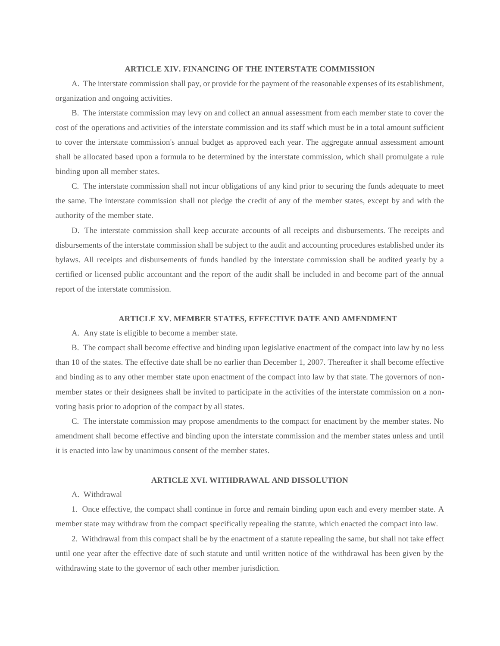#### **ARTICLE XIV. FINANCING OF THE INTERSTATE COMMISSION**

A. The interstate commission shall pay, or provide for the payment of the reasonable expenses of its establishment, organization and ongoing activities.

B. The interstate commission may levy on and collect an annual assessment from each member state to cover the cost of the operations and activities of the interstate commission and its staff which must be in a total amount sufficient to cover the interstate commission's annual budget as approved each year. The aggregate annual assessment amount shall be allocated based upon a formula to be determined by the interstate commission, which shall promulgate a rule binding upon all member states.

C. The interstate commission shall not incur obligations of any kind prior to securing the funds adequate to meet the same. The interstate commission shall not pledge the credit of any of the member states, except by and with the authority of the member state.

D. The interstate commission shall keep accurate accounts of all receipts and disbursements. The receipts and disbursements of the interstate commission shall be subject to the audit and accounting procedures established under its bylaws. All receipts and disbursements of funds handled by the interstate commission shall be audited yearly by a certified or licensed public accountant and the report of the audit shall be included in and become part of the annual report of the interstate commission.

#### **ARTICLE XV. MEMBER STATES, EFFECTIVE DATE AND AMENDMENT**

A. Any state is eligible to become a member state.

B. The compact shall become effective and binding upon legislative enactment of the compact into law by no less than 10 of the states. The effective date shall be no earlier than December 1, 2007. Thereafter it shall become effective and binding as to any other member state upon enactment of the compact into law by that state. The governors of nonmember states or their designees shall be invited to participate in the activities of the interstate commission on a nonvoting basis prior to adoption of the compact by all states.

C. The interstate commission may propose amendments to the compact for enactment by the member states. No amendment shall become effective and binding upon the interstate commission and the member states unless and until it is enacted into law by unanimous consent of the member states.

## **ARTICLE XVI. WITHDRAWAL AND DISSOLUTION**

#### A. Withdrawal

1. Once effective, the compact shall continue in force and remain binding upon each and every member state. A member state may withdraw from the compact specifically repealing the statute, which enacted the compact into law.

2. Withdrawal from this compact shall be by the enactment of a statute repealing the same, but shall not take effect until one year after the effective date of such statute and until written notice of the withdrawal has been given by the withdrawing state to the governor of each other member jurisdiction.